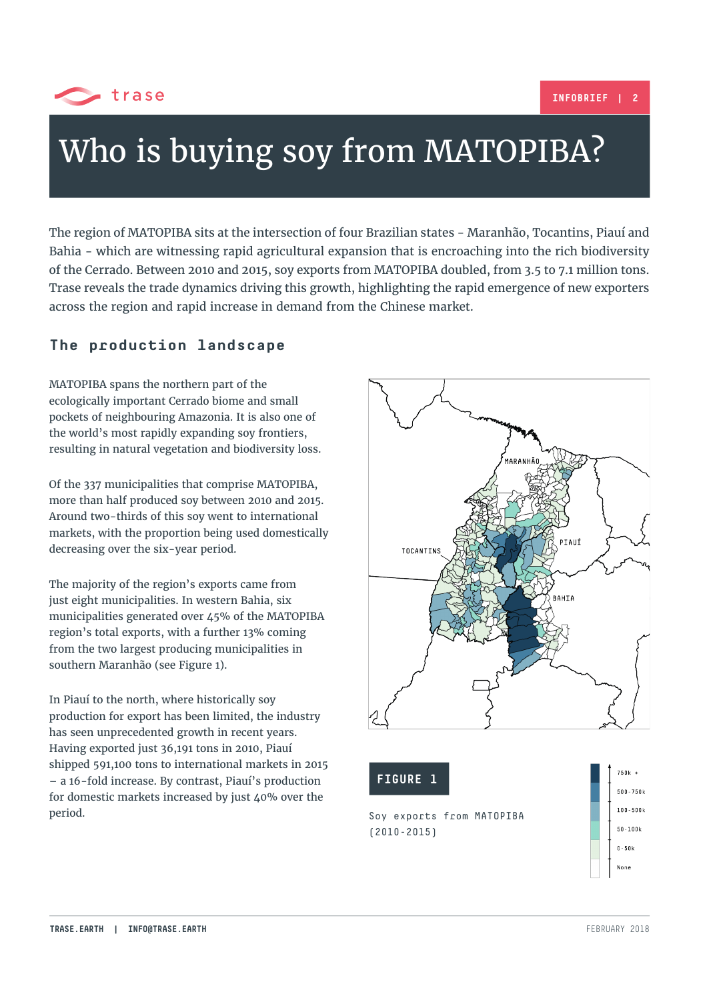

## Who is buying soy from MATOPIBA?

The region of MATOPIBA sits at the intersection of four Brazilian states - Maranhão, Tocantins, Piauí and Bahia - which are witnessing rapid agricultural expansion that is encroaching into the rich biodiversity of the Cerrado. Between 2010 and 2015, soy exports from MATOPIBA doubled, from 3.5 to 7.1 million tons. Trase reveals the trade dynamics driving this growth, highlighting the rapid emergence of new exporters across the region and rapid increase in demand from the Chinese market.

## **The production landscape**

MATOPIBA spans the northern part of the ecologically important Cerrado biome and small pockets of neighbouring Amazonia. It is also one of the world's most rapidly expanding soy frontiers, resulting in natural vegetation and biodiversity loss.

Of the 337 municipalities that comprise MATOPIBA, more than half produced soy between 2010 and 2015. Around two-thirds of this soy went to international markets, with the proportion being used domestically decreasing over the six-year period.

The majority of the region's exports came from just eight municipalities. In western Bahia, six municipalities generated over 45% of the MATOPIBA region's total exports, with a further 13% coming from the two largest producing municipalities in southern Maranhão (see Figure 1).

In Piauí to the north, where historically soy production for export has been limited, the industry has seen unprecedented growth in recent years. Having exported just 36,191 tons in 2010, Piauí shipped 591,100 tons to international markets in 2015 – a 16-fold increase. By contrast, Piauí's production for domestic markets increased by just 40% over the period. The contraction of the source of the source of the Sov exports from MATOPIBA